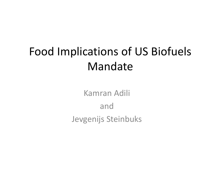# Food Implications of US Biofuels Mandate

Kamran Adili andJevgenijs Steinbuks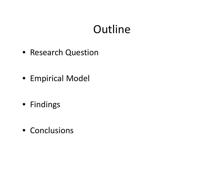# Outline

- Research Question
- Empirical Model
- Findings
- Conclusions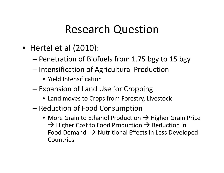### Research Question

- Hertel et al (2010):
	- Penetration of Biofuels from 1.75 bgy to 15 bgy
	- –— Intensification of Agricultural Production
		- Yield Intensification
	- –– Expansion of Land Use for Cropping
		- Land moves to Crops from Forestry, Livestock
	- – $-$  Reduction of Food Consumption
		- More Grain to Ethanol Production  $\rightarrow$  Higher Grain Price  $\rightarrow$  Higher Cost to Food Production  $\rightarrow$  Reduction in Food Demand  $\,\Rightarrow$  Nutritional Effects in Less Developed Countries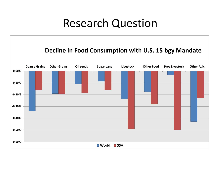#### Research Question

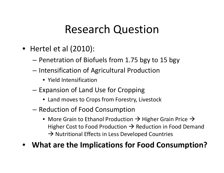### Research Question

- Hertel et al (2010):
	- Penetration of Biofuels from 1.75 bgy to 15 bgy
	- –— Intensification of Agricultural Production
		- Yield Intensification
	- – $-$  Expansion of Land Use for Cropping
		- Land moves to Crops from Forestry, Livestock
	- – $-$  Reduction of Food Consumption
		- $\bullet\,$  More Grain to Ethanol Production  $\Rightarrow$  Higher Grain Price  $\Rightarrow$ Higher Cost to Food Production  $\rightarrow$  Reduction in Food Demand  $\rightarrow$  Nutritional Effects in Less Developed Countries
- •**What are the Implications for Food Consumption?**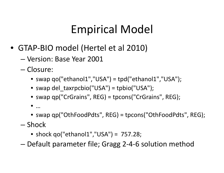# Empirical Model

- GTAP‐BIO model (Hertel et al 2010)
	- Version: Base Year 2001
	- Closure:
		- swap qo("ethanol1","USA") <sup>=</sup> tpd("ethanol1","USA");
		- swap del\_taxrpcbio("USA") <sup>=</sup> tpbio("USA");
		- swap qp("CrGrains", REG) <sup>=</sup> tpcons("CrGrains", REG);
		- •…
		- swap qp("OthFoodPdts", REG) <sup>=</sup> tpcons("OthFoodPdts", REG);
	- Shock
		- shock qo("ethanol1","USA") <sup>=</sup> 757.28;
	- –Default parameter file; Gragg 2‐4‐6 solution method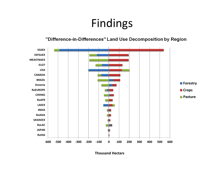### Findings

#### "Difference-in-Differences" Land Use Decomposition by Region



**Thousand Hectars**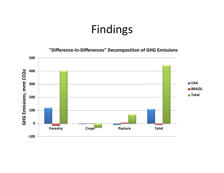#### Findings

**"Difference‐in‐Differences" Decomposition of GHG Emissions**

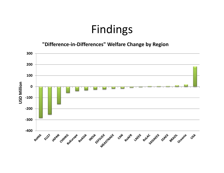#### Findings

**"Difference‐in‐Differences" Welfare Change by Region**